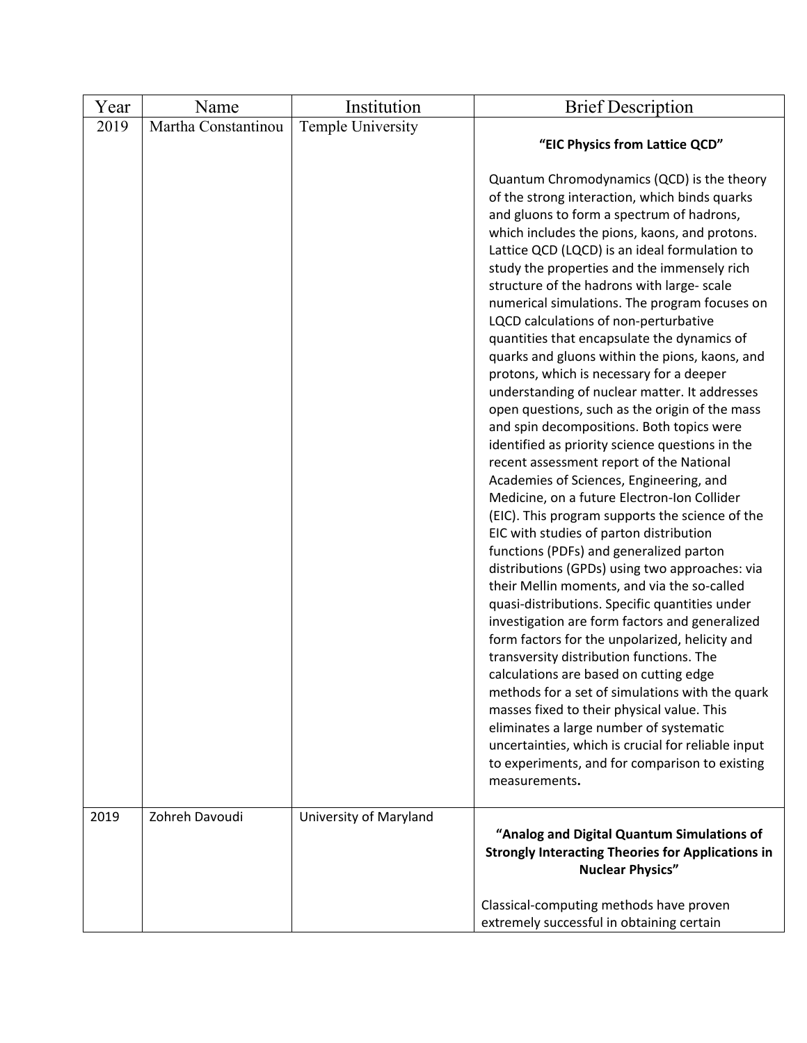| Year | Name                | Institution            | <b>Brief Description</b>                                                                                                                                                                                                                                                                                                                                                                                                                                                                                                                                                                                                                                                                                                                                                                                                                                                                                                                                                                                                                                                                                                                                                                                                                                                                                                                                                                                                                                                                                                                                                                                                                                                           |
|------|---------------------|------------------------|------------------------------------------------------------------------------------------------------------------------------------------------------------------------------------------------------------------------------------------------------------------------------------------------------------------------------------------------------------------------------------------------------------------------------------------------------------------------------------------------------------------------------------------------------------------------------------------------------------------------------------------------------------------------------------------------------------------------------------------------------------------------------------------------------------------------------------------------------------------------------------------------------------------------------------------------------------------------------------------------------------------------------------------------------------------------------------------------------------------------------------------------------------------------------------------------------------------------------------------------------------------------------------------------------------------------------------------------------------------------------------------------------------------------------------------------------------------------------------------------------------------------------------------------------------------------------------------------------------------------------------------------------------------------------------|
| 2019 | Martha Constantinou | Temple University      | "EIC Physics from Lattice QCD"                                                                                                                                                                                                                                                                                                                                                                                                                                                                                                                                                                                                                                                                                                                                                                                                                                                                                                                                                                                                                                                                                                                                                                                                                                                                                                                                                                                                                                                                                                                                                                                                                                                     |
| 2019 | Zohreh Davoudi      |                        | Quantum Chromodynamics (QCD) is the theory<br>of the strong interaction, which binds quarks<br>and gluons to form a spectrum of hadrons,<br>which includes the pions, kaons, and protons.<br>Lattice QCD (LQCD) is an ideal formulation to<br>study the properties and the immensely rich<br>structure of the hadrons with large- scale<br>numerical simulations. The program focuses on<br>LQCD calculations of non-perturbative<br>quantities that encapsulate the dynamics of<br>quarks and gluons within the pions, kaons, and<br>protons, which is necessary for a deeper<br>understanding of nuclear matter. It addresses<br>open questions, such as the origin of the mass<br>and spin decompositions. Both topics were<br>identified as priority science questions in the<br>recent assessment report of the National<br>Academies of Sciences, Engineering, and<br>Medicine, on a future Electron-Ion Collider<br>(EIC). This program supports the science of the<br>EIC with studies of parton distribution<br>functions (PDFs) and generalized parton<br>distributions (GPDs) using two approaches: via<br>their Mellin moments, and via the so-called<br>quasi-distributions. Specific quantities under<br>investigation are form factors and generalized<br>form factors for the unpolarized, helicity and<br>transversity distribution functions. The<br>calculations are based on cutting edge<br>methods for a set of simulations with the quark<br>masses fixed to their physical value. This<br>eliminates a large number of systematic<br>uncertainties, which is crucial for reliable input<br>to experiments, and for comparison to existing<br>measurements. |
|      |                     | University of Maryland | "Analog and Digital Quantum Simulations of<br><b>Strongly Interacting Theories for Applications in</b><br><b>Nuclear Physics"</b>                                                                                                                                                                                                                                                                                                                                                                                                                                                                                                                                                                                                                                                                                                                                                                                                                                                                                                                                                                                                                                                                                                                                                                                                                                                                                                                                                                                                                                                                                                                                                  |
|      |                     |                        | Classical-computing methods have proven<br>extremely successful in obtaining certain                                                                                                                                                                                                                                                                                                                                                                                                                                                                                                                                                                                                                                                                                                                                                                                                                                                                                                                                                                                                                                                                                                                                                                                                                                                                                                                                                                                                                                                                                                                                                                                               |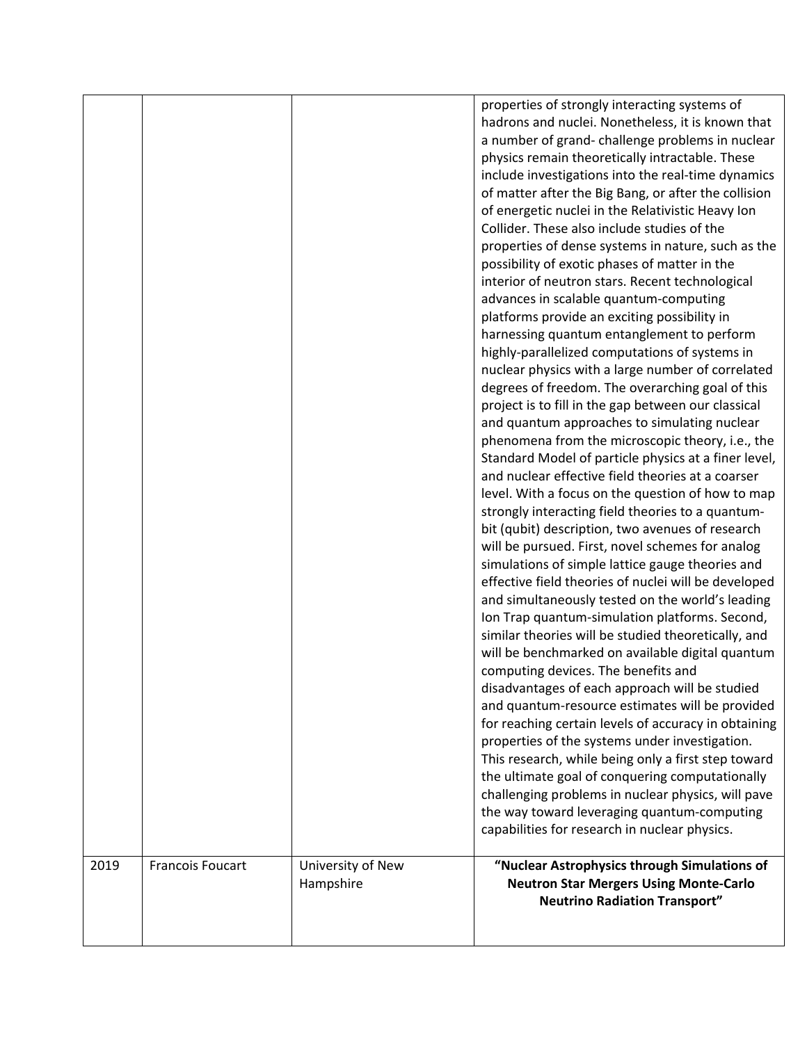|      |                         |                   | properties of strongly interacting systems of                                                         |
|------|-------------------------|-------------------|-------------------------------------------------------------------------------------------------------|
|      |                         |                   | hadrons and nuclei. Nonetheless, it is known that                                                     |
|      |                         |                   | a number of grand- challenge problems in nuclear                                                      |
|      |                         |                   | physics remain theoretically intractable. These                                                       |
|      |                         |                   | include investigations into the real-time dynamics                                                    |
|      |                         |                   | of matter after the Big Bang, or after the collision                                                  |
|      |                         |                   | of energetic nuclei in the Relativistic Heavy Ion                                                     |
|      |                         |                   | Collider. These also include studies of the                                                           |
|      |                         |                   | properties of dense systems in nature, such as the                                                    |
|      |                         |                   | possibility of exotic phases of matter in the                                                         |
|      |                         |                   | interior of neutron stars. Recent technological                                                       |
|      |                         |                   | advances in scalable quantum-computing                                                                |
|      |                         |                   | platforms provide an exciting possibility in                                                          |
|      |                         |                   | harnessing quantum entanglement to perform                                                            |
|      |                         |                   | highly-parallelized computations of systems in                                                        |
|      |                         |                   | nuclear physics with a large number of correlated                                                     |
|      |                         |                   | degrees of freedom. The overarching goal of this                                                      |
|      |                         |                   | project is to fill in the gap between our classical                                                   |
|      |                         |                   | and quantum approaches to simulating nuclear                                                          |
|      |                         |                   | phenomena from the microscopic theory, i.e., the                                                      |
|      |                         |                   | Standard Model of particle physics at a finer level,                                                  |
|      |                         |                   | and nuclear effective field theories at a coarser                                                     |
|      |                         |                   | level. With a focus on the question of how to map                                                     |
|      |                         |                   | strongly interacting field theories to a quantum-                                                     |
|      |                         |                   | bit (qubit) description, two avenues of research                                                      |
|      |                         |                   | will be pursued. First, novel schemes for analog                                                      |
|      |                         |                   | simulations of simple lattice gauge theories and                                                      |
|      |                         |                   | effective field theories of nuclei will be developed                                                  |
|      |                         |                   |                                                                                                       |
|      |                         |                   | and simultaneously tested on the world's leading                                                      |
|      |                         |                   | Ion Trap quantum-simulation platforms. Second,<br>similar theories will be studied theoretically, and |
|      |                         |                   |                                                                                                       |
|      |                         |                   | will be benchmarked on available digital quantum                                                      |
|      |                         |                   | computing devices. The benefits and                                                                   |
|      |                         |                   | disadvantages of each approach will be studied                                                        |
|      |                         |                   | and quantum-resource estimates will be provided                                                       |
|      |                         |                   | for reaching certain levels of accuracy in obtaining                                                  |
|      |                         |                   | properties of the systems under investigation.                                                        |
|      |                         |                   | This research, while being only a first step toward                                                   |
|      |                         |                   | the ultimate goal of conquering computationally                                                       |
|      |                         |                   | challenging problems in nuclear physics, will pave                                                    |
|      |                         |                   | the way toward leveraging quantum-computing                                                           |
|      |                         |                   | capabilities for research in nuclear physics.                                                         |
| 2019 | <b>Francois Foucart</b> | University of New | "Nuclear Astrophysics through Simulations of                                                          |
|      |                         | Hampshire         | <b>Neutron Star Mergers Using Monte-Carlo</b>                                                         |
|      |                         |                   | <b>Neutrino Radiation Transport"</b>                                                                  |
|      |                         |                   |                                                                                                       |
|      |                         |                   |                                                                                                       |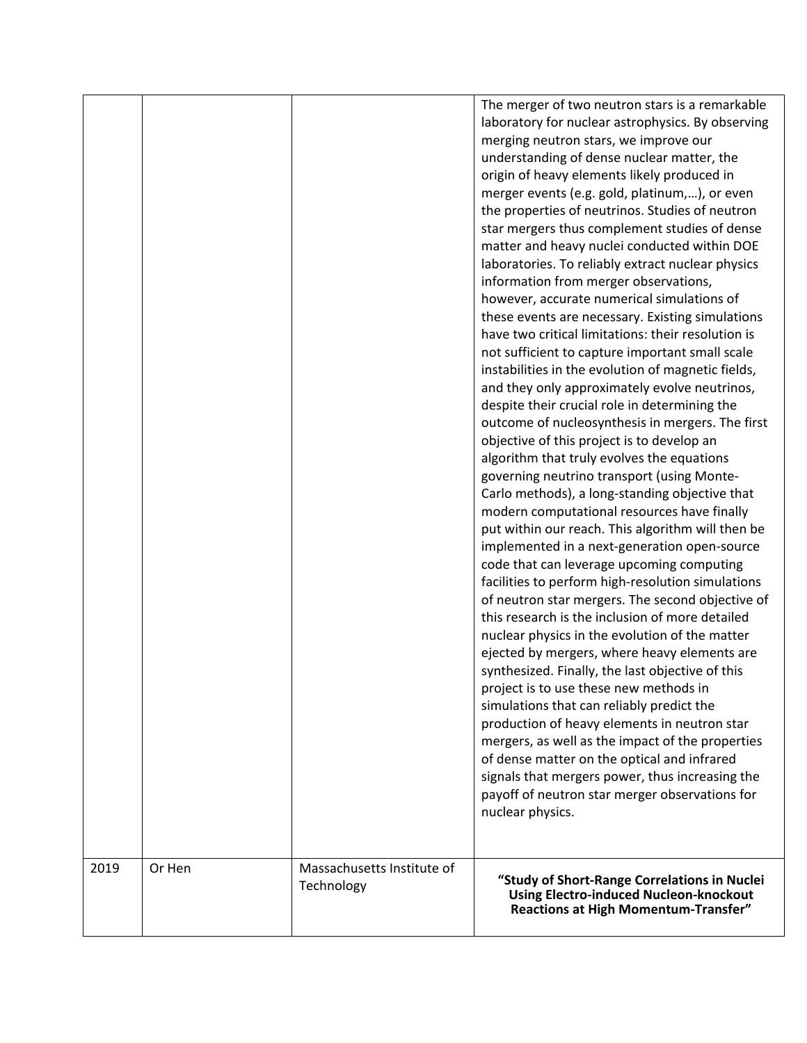|      |        |                                          | The merger of two neutron stars is a remarkable<br>laboratory for nuclear astrophysics. By observing<br>merging neutron stars, we improve our<br>understanding of dense nuclear matter, the<br>origin of heavy elements likely produced in<br>merger events (e.g. gold, platinum,), or even<br>the properties of neutrinos. Studies of neutron<br>star mergers thus complement studies of dense<br>matter and heavy nuclei conducted within DOE<br>laboratories. To reliably extract nuclear physics<br>information from merger observations,<br>however, accurate numerical simulations of<br>these events are necessary. Existing simulations<br>have two critical limitations: their resolution is<br>not sufficient to capture important small scale<br>instabilities in the evolution of magnetic fields,<br>and they only approximately evolve neutrinos,<br>despite their crucial role in determining the<br>outcome of nucleosynthesis in mergers. The first<br>objective of this project is to develop an<br>algorithm that truly evolves the equations<br>governing neutrino transport (using Monte-<br>Carlo methods), a long-standing objective that<br>modern computational resources have finally<br>put within our reach. This algorithm will then be<br>implemented in a next-generation open-source<br>code that can leverage upcoming computing<br>facilities to perform high-resolution simulations<br>of neutron star mergers. The second objective of<br>this research is the inclusion of more detailed<br>nuclear physics in the evolution of the matter<br>ejected by mergers, where heavy elements are<br>synthesized. Finally, the last objective of this<br>project is to use these new methods in<br>simulations that can reliably predict the<br>production of heavy elements in neutron star<br>mergers, as well as the impact of the properties<br>of dense matter on the optical and infrared<br>signals that mergers power, thus increasing the<br>payoff of neutron star merger observations for<br>nuclear physics. |
|------|--------|------------------------------------------|--------------------------------------------------------------------------------------------------------------------------------------------------------------------------------------------------------------------------------------------------------------------------------------------------------------------------------------------------------------------------------------------------------------------------------------------------------------------------------------------------------------------------------------------------------------------------------------------------------------------------------------------------------------------------------------------------------------------------------------------------------------------------------------------------------------------------------------------------------------------------------------------------------------------------------------------------------------------------------------------------------------------------------------------------------------------------------------------------------------------------------------------------------------------------------------------------------------------------------------------------------------------------------------------------------------------------------------------------------------------------------------------------------------------------------------------------------------------------------------------------------------------------------------------------------------------------------------------------------------------------------------------------------------------------------------------------------------------------------------------------------------------------------------------------------------------------------------------------------------------------------------------------------------------------------------------------------------------------------------------------------------------------------------------------------|
| 2019 | Or Hen | Massachusetts Institute of<br>Technology | "Study of Short-Range Correlations in Nuclei<br><b>Using Electro-induced Nucleon-knockout</b><br>Reactions at High Momentum-Transfer"                                                                                                                                                                                                                                                                                                                                                                                                                                                                                                                                                                                                                                                                                                                                                                                                                                                                                                                                                                                                                                                                                                                                                                                                                                                                                                                                                                                                                                                                                                                                                                                                                                                                                                                                                                                                                                                                                                                  |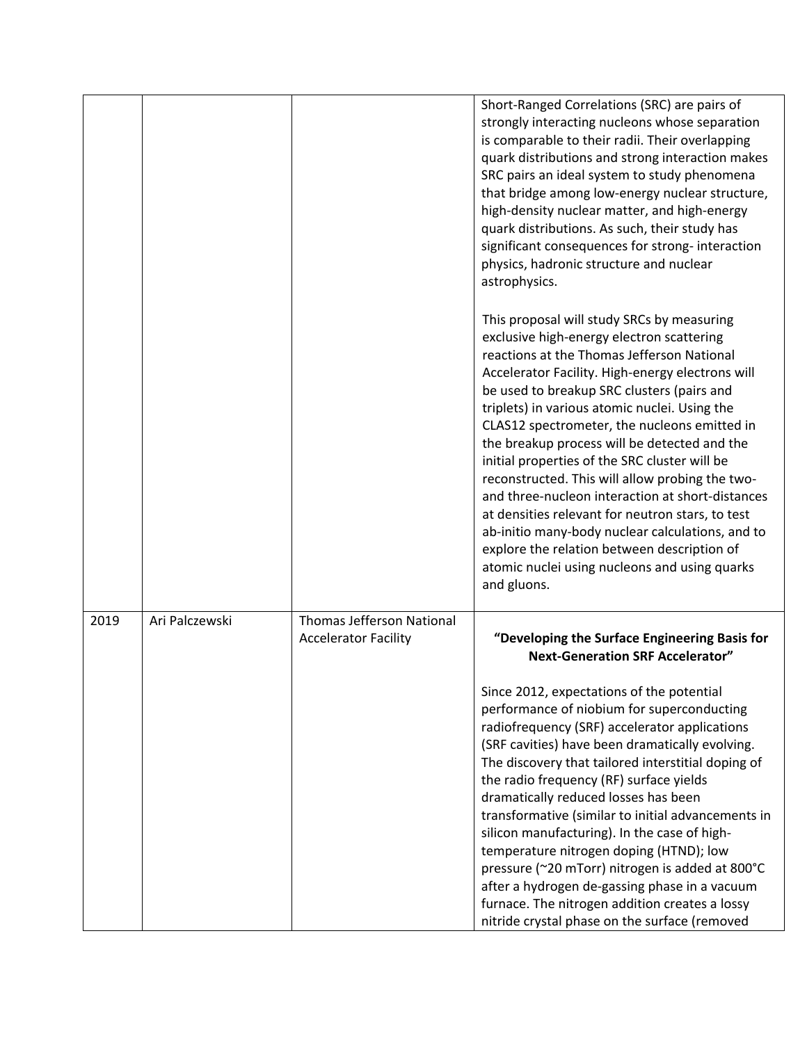|      |                |                                                                 | Short-Ranged Correlations (SRC) are pairs of<br>strongly interacting nucleons whose separation<br>is comparable to their radii. Their overlapping<br>quark distributions and strong interaction makes<br>SRC pairs an ideal system to study phenomena<br>that bridge among low-energy nuclear structure,<br>high-density nuclear matter, and high-energy<br>quark distributions. As such, their study has<br>significant consequences for strong-interaction<br>physics, hadronic structure and nuclear<br>astrophysics.                                                                                                                                                                                                                                                |
|------|----------------|-----------------------------------------------------------------|-------------------------------------------------------------------------------------------------------------------------------------------------------------------------------------------------------------------------------------------------------------------------------------------------------------------------------------------------------------------------------------------------------------------------------------------------------------------------------------------------------------------------------------------------------------------------------------------------------------------------------------------------------------------------------------------------------------------------------------------------------------------------|
|      |                |                                                                 | This proposal will study SRCs by measuring<br>exclusive high-energy electron scattering<br>reactions at the Thomas Jefferson National<br>Accelerator Facility. High-energy electrons will<br>be used to breakup SRC clusters (pairs and<br>triplets) in various atomic nuclei. Using the<br>CLAS12 spectrometer, the nucleons emitted in<br>the breakup process will be detected and the<br>initial properties of the SRC cluster will be<br>reconstructed. This will allow probing the two-<br>and three-nucleon interaction at short-distances<br>at densities relevant for neutron stars, to test<br>ab-initio many-body nuclear calculations, and to<br>explore the relation between description of<br>atomic nuclei using nucleons and using quarks<br>and gluons. |
| 2019 | Ari Palczewski | <b>Thomas Jefferson National</b><br><b>Accelerator Facility</b> | "Developing the Surface Engineering Basis for<br><b>Next-Generation SRF Accelerator"</b><br>Since 2012, expectations of the potential<br>performance of niobium for superconducting                                                                                                                                                                                                                                                                                                                                                                                                                                                                                                                                                                                     |
|      |                |                                                                 | radiofrequency (SRF) accelerator applications<br>(SRF cavities) have been dramatically evolving.<br>The discovery that tailored interstitial doping of<br>the radio frequency (RF) surface yields<br>dramatically reduced losses has been<br>transformative (similar to initial advancements in<br>silicon manufacturing). In the case of high-                                                                                                                                                                                                                                                                                                                                                                                                                         |
|      |                |                                                                 | temperature nitrogen doping (HTND); low<br>pressure (~20 mTorr) nitrogen is added at 800°C<br>after a hydrogen de-gassing phase in a vacuum<br>furnace. The nitrogen addition creates a lossy<br>nitride crystal phase on the surface (removed                                                                                                                                                                                                                                                                                                                                                                                                                                                                                                                          |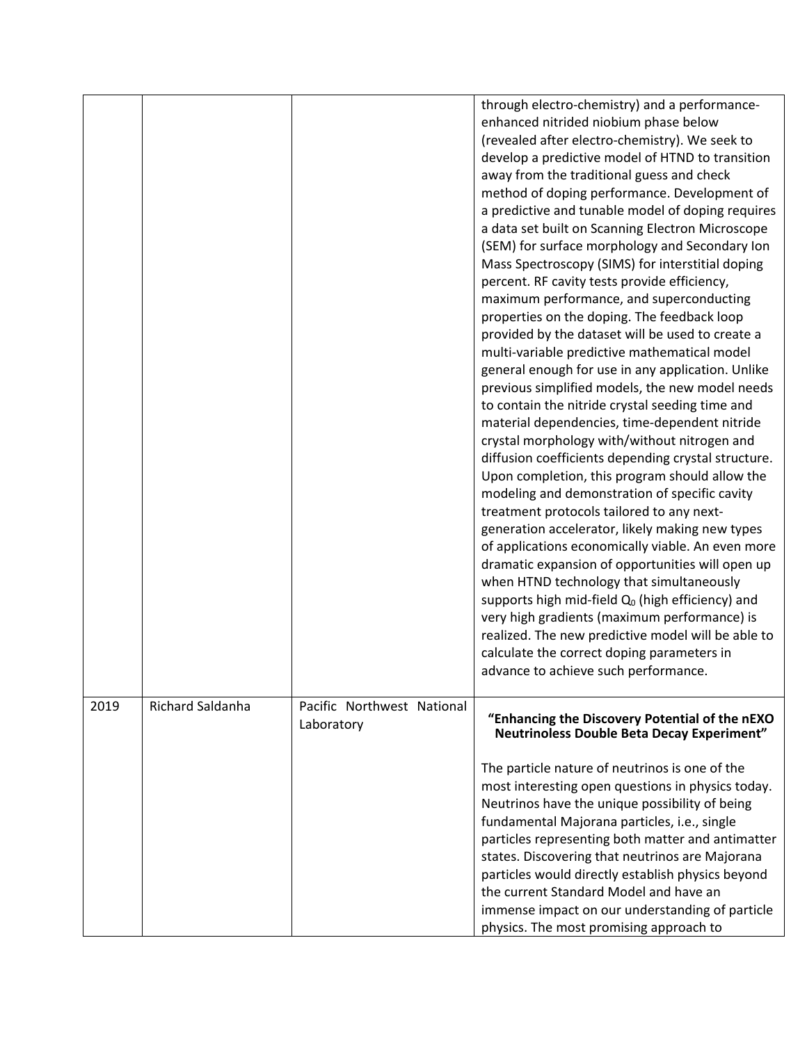|      |                         |                            | through electro-chemistry) and a performance-       |
|------|-------------------------|----------------------------|-----------------------------------------------------|
|      |                         |                            | enhanced nitrided niobium phase below               |
|      |                         |                            | (revealed after electro-chemistry). We seek to      |
|      |                         |                            | develop a predictive model of HTND to transition    |
|      |                         |                            | away from the traditional guess and check           |
|      |                         |                            | method of doping performance. Development of        |
|      |                         |                            |                                                     |
|      |                         |                            | a predictive and tunable model of doping requires   |
|      |                         |                            | a data set built on Scanning Electron Microscope    |
|      |                         |                            | (SEM) for surface morphology and Secondary Ion      |
|      |                         |                            | Mass Spectroscopy (SIMS) for interstitial doping    |
|      |                         |                            | percent. RF cavity tests provide efficiency,        |
|      |                         |                            | maximum performance, and superconducting            |
|      |                         |                            | properties on the doping. The feedback loop         |
|      |                         |                            | provided by the dataset will be used to create a    |
|      |                         |                            | multi-variable predictive mathematical model        |
|      |                         |                            | general enough for use in any application. Unlike   |
|      |                         |                            | previous simplified models, the new model needs     |
|      |                         |                            | to contain the nitride crystal seeding time and     |
|      |                         |                            | material dependencies, time-dependent nitride       |
|      |                         |                            | crystal morphology with/without nitrogen and        |
|      |                         |                            | diffusion coefficients depending crystal structure. |
|      |                         |                            | Upon completion, this program should allow the      |
|      |                         |                            | modeling and demonstration of specific cavity       |
|      |                         |                            | treatment protocols tailored to any next-           |
|      |                         |                            |                                                     |
|      |                         |                            | generation accelerator, likely making new types     |
|      |                         |                            | of applications economically viable. An even more   |
|      |                         |                            | dramatic expansion of opportunities will open up    |
|      |                         |                            | when HTND technology that simultaneously            |
|      |                         |                            | supports high mid-field $Q_0$ (high efficiency) and |
|      |                         |                            | very high gradients (maximum performance) is        |
|      |                         |                            | realized. The new predictive model will be able to  |
|      |                         |                            | calculate the correct doping parameters in          |
|      |                         |                            | advance to achieve such performance.                |
|      |                         |                            |                                                     |
| 2019 | <b>Richard Saldanha</b> | Pacific Northwest National |                                                     |
|      |                         | Laboratory                 | "Enhancing the Discovery Potential of the nEXO      |
|      |                         |                            | <b>Neutrinoless Double Beta Decay Experiment"</b>   |
|      |                         |                            |                                                     |
|      |                         |                            | The particle nature of neutrinos is one of the      |
|      |                         |                            | most interesting open questions in physics today.   |
|      |                         |                            | Neutrinos have the unique possibility of being      |
|      |                         |                            | fundamental Majorana particles, i.e., single        |
|      |                         |                            | particles representing both matter and antimatter   |
|      |                         |                            | states. Discovering that neutrinos are Majorana     |
|      |                         |                            | particles would directly establish physics beyond   |
|      |                         |                            | the current Standard Model and have an              |
|      |                         |                            | immense impact on our understanding of particle     |
|      |                         |                            | physics. The most promising approach to             |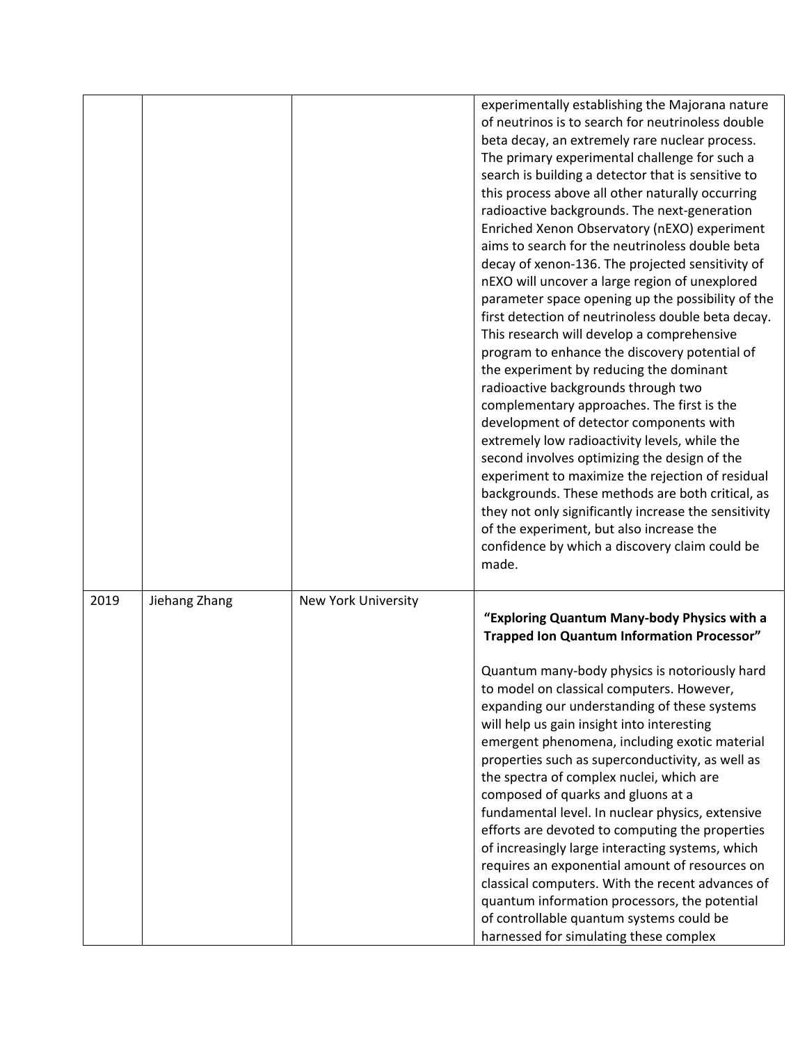|      |               |                     | experimentally establishing the Majorana nature<br>of neutrinos is to search for neutrinoless double<br>beta decay, an extremely rare nuclear process.<br>The primary experimental challenge for such a<br>search is building a detector that is sensitive to<br>this process above all other naturally occurring<br>radioactive backgrounds. The next-generation<br>Enriched Xenon Observatory (nEXO) experiment<br>aims to search for the neutrinoless double beta<br>decay of xenon-136. The projected sensitivity of<br>nEXO will uncover a large region of unexplored<br>parameter space opening up the possibility of the<br>first detection of neutrinoless double beta decay.<br>This research will develop a comprehensive<br>program to enhance the discovery potential of<br>the experiment by reducing the dominant<br>radioactive backgrounds through two<br>complementary approaches. The first is the<br>development of detector components with<br>extremely low radioactivity levels, while the<br>second involves optimizing the design of the<br>experiment to maximize the rejection of residual<br>backgrounds. These methods are both critical, as<br>they not only significantly increase the sensitivity<br>of the experiment, but also increase the<br>confidence by which a discovery claim could be<br>made. |
|------|---------------|---------------------|-----------------------------------------------------------------------------------------------------------------------------------------------------------------------------------------------------------------------------------------------------------------------------------------------------------------------------------------------------------------------------------------------------------------------------------------------------------------------------------------------------------------------------------------------------------------------------------------------------------------------------------------------------------------------------------------------------------------------------------------------------------------------------------------------------------------------------------------------------------------------------------------------------------------------------------------------------------------------------------------------------------------------------------------------------------------------------------------------------------------------------------------------------------------------------------------------------------------------------------------------------------------------------------------------------------------------------------------|
| 2019 | Jiehang Zhang | New York University | "Exploring Quantum Many-body Physics with a<br><b>Trapped Ion Quantum Information Processor"</b><br>Quantum many-body physics is notoriously hard<br>to model on classical computers. However,<br>expanding our understanding of these systems<br>will help us gain insight into interesting<br>emergent phenomena, including exotic material<br>properties such as superconductivity, as well as<br>the spectra of complex nuclei, which are<br>composed of quarks and gluons at a<br>fundamental level. In nuclear physics, extensive<br>efforts are devoted to computing the properties<br>of increasingly large interacting systems, which<br>requires an exponential amount of resources on<br>classical computers. With the recent advances of<br>quantum information processors, the potential<br>of controllable quantum systems could be<br>harnessed for simulating these complex                                                                                                                                                                                                                                                                                                                                                                                                                                             |